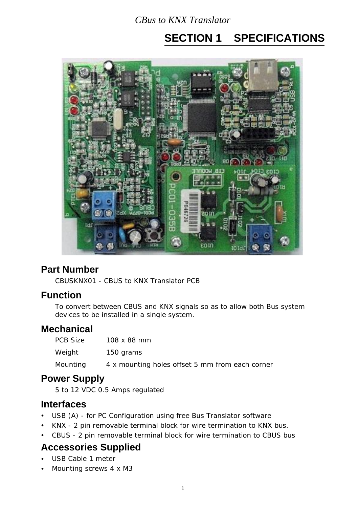# **SECTION 1 SPECIFICATIONS**



# **Part Number**

CBUSKNX01 - CBUS to KNX Translator PCB

### **Function**

To convert between CBUS and KNX signals so as to allow both Bus system devices to be installed in a single system.

# **Mechanical**

| PCB Size | $108 \times 88$ mm                              |
|----------|-------------------------------------------------|
| Weight   | 150 grams                                       |
| Mounting | 4 x mounting holes offset 5 mm from each corner |

### **Power Supply**

5 to 12 VDC 0.5 Amps regulated

### **Interfaces**

- USB (A) for PC Configuration using free Bus Translator software
- KNX 2 pin removable terminal block for wire termination to KNX bus.
- CBUS 2 pin removable terminal block for wire termination to CBUS bus

# **Accessories Supplied**

- USB Cable 1 meter
- Mounting screws 4 x M3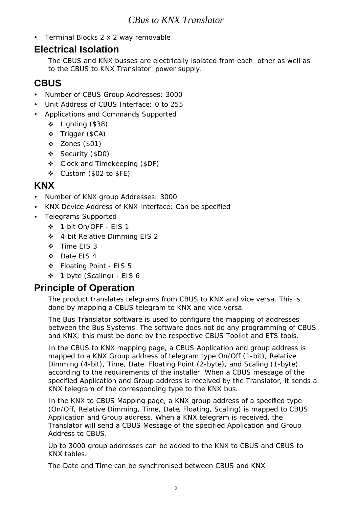• Terminal Blocks 2 x 2 way removable

## **Electrical Isolation**

The CBUS and KNX busses are electrically isolated from each other as well as to the CBUS to KNX Translator power supply.

# **CBUS**

- Number of CBUS Group Addresses: 3000
- Unit Address of CBUS Interface: 0 to 255
- Applications and Commands Supported
	- Lighting (\$38)
	- Trigger (\$CA)
	- $\div$  Zones (\$01)
	- Security (\$D0)
	- Clock and Timekeeping (\$DF)
	- $\div$  Custom (\$02 to \$FE)

## **KNX**

- Number of KNX group Addresses: 3000
- KNX Device Address of KNX Interface: Can be specified
- Telegrams Supported
	- 1 bit On/OFF EIS 1
	- 4-bit Relative Dimming EIS 2
	- ❖ Time EIS 3
	- ◆ Date FIS 4
	- Floating Point EIS 5
	- 1 byte (Scaling) EIS 6

# **Principle of Operation**

The product translates telegrams from CBUS to KNX and vice versa. This is done by mapping a CBUS telegram to KNX and vice versa.

The Bus Translator software is used to configure the mapping of addresses between the Bus Systems. The software does not do any programming of CBUS and KNX; this must be done by the respective CBUS Toolkit and ETS tools.

In the CBUS to KNX mapping page, a CBUS Application and group address is mapped to a KNX Group address of telegram type On/Off (1-bit), Relative Dimming (4-bit), Time, Date. Floating Point (2-byte), and Scaling (1-byte) according to the requirements of the installer. When a CBUS message of the specified Application and Group address is received by the Translator, it sends a KNX telegram of the corresponding type to the KNX bus.

In the KNX to CBUS Mapping page, a KNX group address of a specified type (On/Off, Relative Dimming, Time, Date, Floating, Scaling) is mapped to CBUS Application and Group address. When a KNX telegram is received, the Translator will send a CBUS Message of the specified Application and Group Address to CBUS.

Up to 3000 group addresses can be added to the KNX to CBUS and CBUS to KNX tables.

The Date and Time can be synchronised between CBUS and KNX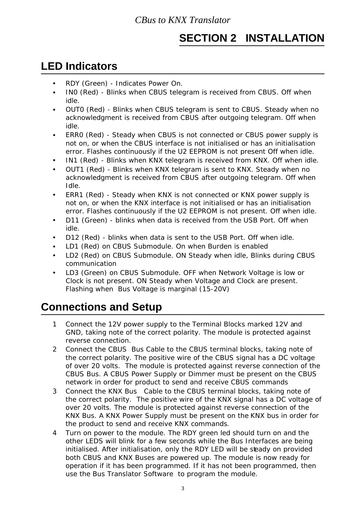# **SECTION 2 INSTALLATION**

# **LED Indicators**

- RDY (Green) Indicates Power On.
- INO (Red) Blinks when CBUS telegram is received from CBUS. Off when idle.
- OUT0 (Red) Blinks when CBUS telegram is sent to CBUS. Steady when no acknowledgment is received from CBUS after outgoing telegram. Off when idle.
- ERR0 (Red) Steady when CBUS is not connected or CBUS power supply is not on, or when the CBUS interface is not initialised or has an initialisation error. Flashes continuously if the U2 EEPROM is not present Off when idle.
- IN1 (Red) Blinks when KNX telegram is received from KNX. Off when idle.
- OUT1 (Red) Blinks when KNX telegram is sent to KNX. Steady when no acknowledgment is received from CBUS after outgoing telegram. Off when Idle.
- ERR1 (Red) Steady when KNX is not connected or KNX power supply is not on, or when the KNX interface is not initialised or has an initialisation error. Flashes continuously if the U2 EEPROM is not present. Off when idle.
- D11 (Green) blinks when data is received from the USB Port. Off when idle.
- D12 (Red) blinks when data is sent to the USB Port. Off when idle.
- LD1 (Red) on CBUS Submodule. On when Burden is enabled
- LD2 (Red) on CBUS Submodule. ON Steady when idle, Blinks during CBUS communication
- LD3 (Green) on CBUS Submodule. OFF when Network Voltage is low or Clock is not present. ON Steady when Voltage and Clock are present. Flashing when Bus Voltage is marginal (15-20V)

# **Connections and Setup**

- 1 Connect the 12V power supply to the Terminal Blocks marked 12V and GND, taking note of the correct polarity. The module is protected against reverse connection.
- 2 Connect the CBUS Bus Cable to the CBUS terminal blocks, taking note of the correct polarity. The positive wire of the CBUS signal has a DC voltage of over 20 volts. The module is protected against reverse connection of the CBUS Bus. A CBUS Power Supply or Dimmer must be present on the CBUS network in order for product to send and receive CBUS commands
- 3 Connect the KNX Bus Cable to the CBUS terminal blocks, taking note of the correct polarity. The positive wire of the KNX signal has a DC voltage of over 20 volts. The module is protected against reverse connection of the KNX Bus. A KNX Power Supply must be present on the KNX bus in order for the product to send and receive KNX commands.
- 4 Turn on power to the module. The RDY green led should turn on and the other LEDS will blink for a few seconds while the Bus Interfaces are being initialised. After initialisation, only the RDY LED will be stady on provided both CBUS and KNX Buses are powered up. The module is now ready for operation if it has been programmed. If it has not been programmed, then use the Bus Translator Software to program the module.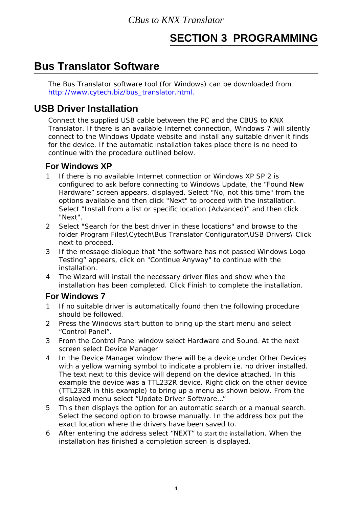# **SECTION 3 PROGRAMMING**

# **Bus Translator Software**

The Bus Translator software tool (for Windows) can be downloaded from http://www.cytech.biz/bus\_translator.html.

# **USB Driver Installation**

Connect the supplied USB cable between the PC and the CBUS to KNX Translator. If there is an available Internet connection, Windows 7 will silently connect to the Windows Update website and install any suitable driver it finds for the device. If the automatic installation takes place there is no need to continue with the procedure outlined below.

## **For Windows XP**

- If there is no available Internet connection or Windows XP SP 2 is configured to ask before connecting to Windows Update, the "Found New Hardware" screen appears. displayed. Select "No, not this time" from the options available and then click "Next" to proceed with the installation. Select "Install from a list or specific location (Advanced)" and then click "Next".
- 2 Select "Search for the best driver in these locations" and browse to the folder Program Files\Cytech\Bus Translator Configurator\USB Drivers\ Click next to proceed.
- 3 If the message dialogue that "the software has not passed Windows Logo Testing" appears, click on "Continue Anyway" to continue with the installation.
- 4 The Wizard will install the necessary driver files and show when the installation has been completed. Click Finish to complete the installation.

#### **For Windows 7**

- 1 If no suitable driver is automatically found then the following procedure should be followed.
- 2 Press the Windows start button to bring up the start menu and select "Control Panel".
- 3 From the Control Panel window select Hardware and Sound. At the next screen select Device Manager
- 4 In the Device Manager window there will be a device under Other Devices with a yellow warning symbol to indicate a problem i.e. no driver installed. The text next to this device will depend on the device attached. In this example the device was a TTL232R device. Right click on the other device (TTL232R in this example) to bring up a menu as shown below. From the displayed menu select "Update Driver Software…"
- 5 This then displays the option for an automatic search or a manual search. Select the second option to browse manually. In the address box put the exact location where the drivers have been saved to.
- 6 After entering the address select "NEXT" to start the installation. When the installation has finished a completion screen is displayed.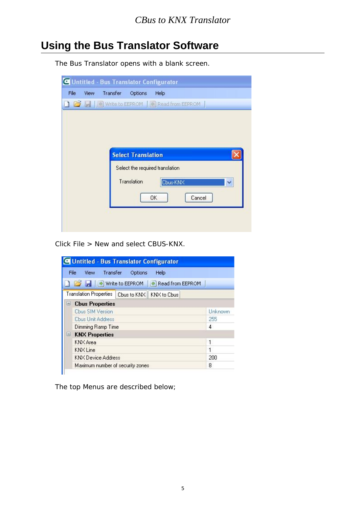# **Using the Bus Translator Software**

The Bus Translator opens with a blank screen.

|      |      | C Untitled - Bus Translator Configurator               |                           |                                 |        |   |
|------|------|--------------------------------------------------------|---------------------------|---------------------------------|--------|---|
| File | View | Transfer                                               | Options                   | Help                            |        |   |
|      |      | <b>B B B</b> Write to EEPROM <b>C</b> Read from EEPROM |                           |                                 |        |   |
|      |      |                                                        |                           |                                 |        |   |
|      |      |                                                        |                           |                                 |        |   |
|      |      |                                                        |                           |                                 |        |   |
|      |      |                                                        | <b>Select Translation</b> |                                 |        |   |
|      |      |                                                        |                           | Select the required translation |        |   |
|      |      |                                                        | Translation               | Cbus-KNX                        |        | × |
|      |      |                                                        |                           | OK                              | Cancel |   |
|      |      |                                                        |                           |                                 |        |   |
|      |      |                                                        |                           |                                 |        |   |

Click File > New and select CBUS-KNX.

|          | View Transfer<br>File<br>Help<br><b>Options</b>    |         |  |  |  |  |
|----------|----------------------------------------------------|---------|--|--|--|--|
|          | <b>B B</b> write to EEPROM<br>Read from EEPROM     |         |  |  |  |  |
|          | Translation Properties   Cbus to KNX   KNX to Cbus |         |  |  |  |  |
| $-1$     | <b>Cbus Properties</b>                             |         |  |  |  |  |
|          | <b>Cbus SIM Version</b>                            | Unknown |  |  |  |  |
|          | <b>Ebus Unit Address</b>                           | 255     |  |  |  |  |
|          | Dimming Ramp Time                                  | 4       |  |  |  |  |
| $\equiv$ | <b>KNX Properties</b>                              |         |  |  |  |  |
|          | KNX Area                                           | 1       |  |  |  |  |
|          | <b>KNX</b> Line                                    | 1       |  |  |  |  |
|          | 200<br><b>KNX Device Address</b>                   |         |  |  |  |  |
|          | Maximum number of security zones                   | 8       |  |  |  |  |

The top Menus are described below;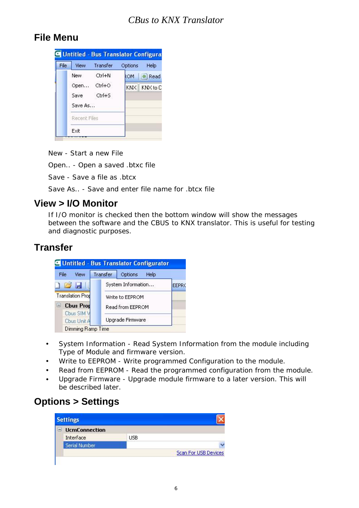# **File Menu**



New - Start a new File

Open.. - Open a saved .btxc file

Save - Save a file as .btcx

Save As.. - Save and enter file name for .btcx file

### **View > I/O Monitor**

If I/O monitor is checked then the bottom window will show the messages between the software and the CBUS to KNX translator. This is useful for testing and diagnostic purposes.

## **Transfer**



- System Information Read System Information from the module including Type of Module and firmware version.
- Write to EEPROM Write programmed Configuration to the module.
- Read from EEPROM Read the programmed configuration from the module.
- Upgrade Firmware Upgrade module firmware to a later version. This will be described later.

# **Options > Settings**

| <b>UcmConnection</b> |     |                             |
|----------------------|-----|-----------------------------|
| Interface            | USB |                             |
| Serial Number        |     |                             |
|                      |     | <b>Scan For USB Devices</b> |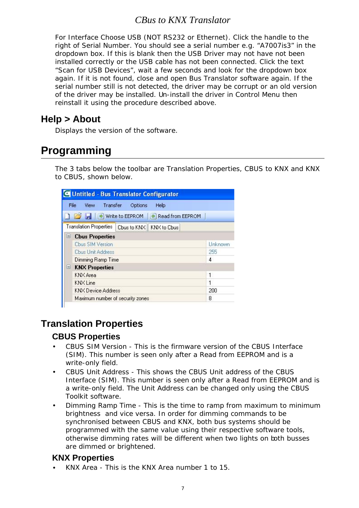For Interface Choose USB (NOT RS232 or Ethernet). Click the handle to the right of Serial Number. You should see a serial number e.g. "A7007is3" in the dropdown box. If this is blank then the USB Driver may not have not been installed correctly or the USB cable has not been connected. Click the text "Scan for USB Devices", wait a few seconds and look for the dropdown box again. If it is not found, close and open Bus Translator software again. If the serial number still is not detected, the driver may be corrupt or an old version of the driver may be installed. Un-install the driver in Control Menu then reinstall it using the procedure described above.

## **Help > About**

Displays the version of the software.

# **Programming**

The 3 tabs below the toolbar are Translation Properties, CBUS to KNX and KNX to CBUS, shown below.

| C Untitled - Bus Translator Configurator           |         |
|----------------------------------------------------|---------|
| View Transfer<br>File<br>Options<br>Help           |         |
| <b>B B</b> Write to EEPROM<br>Read from EEPROM     |         |
| Translation Properties   Cbus to KNX   KNX to Cbus |         |
| <b>Cbus Properties</b><br>-                        |         |
| <b>Cbus SIM Version</b>                            | Unknown |
| <b>Ebus Unit Address</b>                           | 255     |
| Dimming Ramp Time                                  | 4       |
| <b>KNX Properties</b><br>U                         |         |
| KNX Area                                           | 1       |
| <b>KNX</b> Line                                    | 1       |
| <b>KNX Device Address</b>                          | 200     |
| Maximum number of security zones                   | 8       |

# **Translation Properties**

#### **CBUS Properties**

- CBUS SIM Version This is the firmware version of the CBUS Interface (SIM). This number is seen only after a Read from EEPROM and is a write-only field.
- CBUS Unit Address This shows the CBUS Unit address of the CBUS Interface (SIM). This number is seen only after a Read from EEPROM and is a write-only field. The Unit Address can be changed only using the CBUS Toolkit software.
- Dimming Ramp Time This is the time to ramp from maximum to minimum brightness and vice versa. In order for dimming commands to be synchronised between CBUS and KNX, both bus systems should be programmed with the same value using their respective software tools, otherwise dimming rates will be different when two lights on both busses are dimmed or brightened.

#### **KNX Properties**

KNX Area - This is the KNX Area number 1 to 15.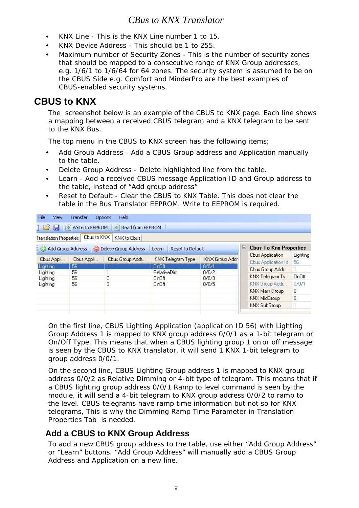- KNX Line This is the KNX Line number 1 to 15.
- KNX Device Address This should be 1 to 255.
- Maximum number of Security Zones This is the number of security zones that should be mapped to a consecutive range of KNX Group addresses, e.g. 1/6/1 to 1/6/64 for 64 zones. The security system is assumed to be on the CBUS Side e.g. Comfort and MinderPro are the best examples of CBUS-enabled security systems.

# **CBUS to KNX**

The screenshot below is an example of the CBUS to KNX page. Each line shows a mapping between a received CBUS telegram and a KNX telegram to be sent to the KNX Bus.

The top menu in the CBUS to KNX screen has the following items;

- Add Group Address Add a CBUS Group address and Application manually to the table.
- Delete Group Address Delete highlighted line from the table.
- Learn Add a received CBUS message Application ID and Group address to the table, instead of "Add group address"
- Reset to Default Clear the CBUS to KNX Table. This does not clear the table in the Bus Translator EEPROM. Write to EEPROM is required.

| <b>File</b><br><b>View</b>    | Transfer                     | Help<br>Options      |                                    |                |   |                               |              |
|-------------------------------|------------------------------|----------------------|------------------------------------|----------------|---|-------------------------------|--------------|
|                               | <b>THE P</b> Write to EEPROM | Read from EEPROM     |                                    |                |   |                               |              |
| <b>Translation Properties</b> | Cbus to KNX                  | KNX to Cbus          |                                    |                |   |                               |              |
| $\odot$                       | Add Group Address            | Delete Group Address | Reset to Default<br>Learn          |                | ы | <b>Chus To Knx Properties</b> |              |
|                               |                              |                      |                                    |                |   | Cbus Application              | Lighting     |
| Cbus Appli                    | Cbus Appli                   | Cbus Group Addr      | KNX Telegram Type                  | KNX Group Addr |   | <b>Cbus Application Id</b>    | 56           |
| Lighting                      | 56<br>56                     |                      | OnOff <sup>1</sup>                 | 0/0/1          |   | Cbus Group Addr               | 1            |
| Lighting<br>Lighting          | 56                           | 2                    | <b>RelativeDim</b><br><b>OnOff</b> | 0/0/2<br>0/0/3 |   | KNX Telegram Ty               | <b>OnOff</b> |
| Lighting                      | 56                           | 3                    | <b>OnOff</b>                       | 0/0/5          |   | KNX Group Addr                | 0/0/1        |
|                               |                              |                      |                                    |                |   | KNX Main Group                | 0            |
|                               |                              |                      |                                    |                |   | KNX MidGroup                  | 0            |
|                               |                              |                      |                                    |                |   | KNX SubGroup                  | 1            |
|                               |                              |                      |                                    |                |   |                               |              |

On the first line, CBUS Lighting Application (application ID 56) with Lighting Group Address 1 is mapped to KNX group address 0/0/1 as a 1-bit telegram or On/Off Type. This means that when a CBUS lighting group 1 on or off message is seen by the CBUS to KNX translator, it will send 1 KNX 1-bit telegram to group address 0/0/1.

On the second line, CBUS Lighting Group address 1 is mapped to KNX group address 0/0/2 as Relative Dimming or 4-bit type of telegram. This means that if a CBUS lighting group address 0/0/1 Ramp to level command is seen by the module, it will send a 4-bit telegram to KNX group address 0/0/2 to ramp to the level. CBUS telegrams have ramp time information but not so for KNX telegrams, This is why the Dimming Ramp Time Parameter in Translation Properties Tab is needed.

#### **Add a CBUS to KNX Group Address**

To add a new CBUS group address to the table, use either "Add Group Address" or "Learn" buttons. "Add Group Address" will manually add a CBUS Group Address and Application on a new line.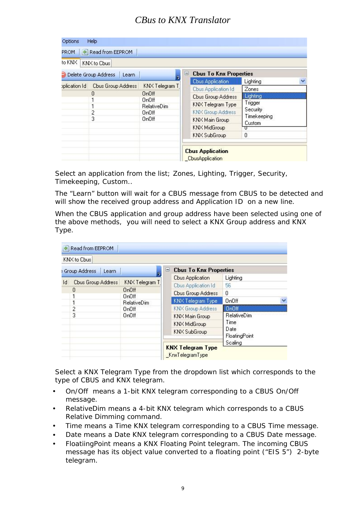| <b>PROM</b>          | Read from EEPROM                  |                                                                                               |                                                                                                                                                         |                                                                                    |  |
|----------------------|-----------------------------------|-----------------------------------------------------------------------------------------------|---------------------------------------------------------------------------------------------------------------------------------------------------------|------------------------------------------------------------------------------------|--|
| to KNX               | KNX to Cbus                       |                                                                                               |                                                                                                                                                         |                                                                                    |  |
| Delete Group Address | Learn                             |                                                                                               | <b>Cbus To Knx Properties</b><br>لتتا                                                                                                                   |                                                                                    |  |
| plication Id         | Cbus Group Address<br>0<br>2<br>3 | KNX Telegram T<br><b>OnOff</b><br><b>OnOff</b><br>RelativeDim<br>OnOff.<br>0 <sub>n</sub> Off | <b>Cbus Application</b><br>Cbus Application Id<br><b>Cbus Group Address</b><br>KNX Telegram Type<br>KNX Group Address<br>KNX Main Group<br>KNX MidGroup | Lighting<br>Zones<br>Lighting<br>Trigger<br>Security<br>Timekeeping<br>Custom<br>π |  |
|                      |                                   |                                                                                               | KNX SubGroup<br><b>Cbus Application</b><br><b>CbusApplication</b>                                                                                       | 0                                                                                  |  |

Select an application from the list; Zones, Lighting, Trigger, Security, Timekeeping, Custom..

The "Learn" button will wait for a CBUS message from CBUS to be detected and will show the received group address and Application ID on a new line.

When the CBUS application and group address have been selected using one of the above methods, you will need to select a KNX Group address and KNX Type.

| Read from EEPROM                    |                       |     |                               |                       |  |
|-------------------------------------|-----------------------|-----|-------------------------------|-----------------------|--|
| KNX to Cbus                         |                       |     |                               |                       |  |
| <b>Group Address</b><br>Learn       |                       | ادا | <b>Cbus To Knx Properties</b> |                       |  |
|                                     |                       |     | <b>Cbus Application</b>       | Lighting              |  |
| $\mathsf{Id}$<br>Cbus Group Address | KNX Telegram T        |     | Cbus Application Id           | 56                    |  |
| 0                                   | OnOff<br><b>OnOff</b> |     | <b>Cbus Group Address</b>     | O                     |  |
| 1                                   | <b>RelativeDim</b>    |     | KNX Telegram Type             | <b>OnOff</b>          |  |
| $\overline{c}$                      | 0n0ff                 |     | KNX Group Address             | D <sub>n</sub> Off    |  |
| 3                                   | OnOff                 |     | KNX Main Group                | <b>RelativeDim</b>    |  |
|                                     |                       |     | KNX MidGroup                  | Time                  |  |
|                                     |                       |     | KNX SubGroup                  | Date<br>FloatingPoint |  |
|                                     |                       |     | <b>KNX Telegram Type</b>      | Scaling               |  |
|                                     |                       |     | _KnxTelegramType              |                       |  |

Select a KNX Telegram Type from the dropdown list which corresponds to the type of CBUS and KNX telegram.

- On/Off means a 1-bit KNX telegram corresponding to a CBUS On/Off message.
- RelativeDim means a 4-bit KNX telegram which corresponds to a CBUS Relative Dimming command.
- Time means a Time KNX telegram corresponding to a CBUS Time message.
- Date means a Date KNX telegram corresponding to a CBUS Date message.
- FloatiingPoint means a KNX Floating Point telegram. The incoming CBUS message has its object value converted to a floating point ("EIS 5") 2-byte telegram.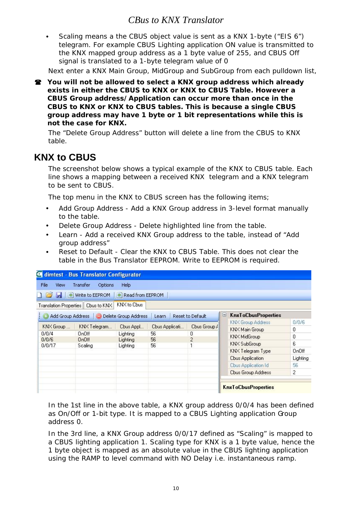Scaling means a the CBUS object value is sent as a KNX 1-byte ("EIS 6") telegram. For example CBUS Lighting application ON value is transmitted to the KNX mapped group address as a 1 byte value of 255, and CBUS Off signal is translated to a 1-byte telegram value of 0

Next enter a KNX Main Group, MidGroup and SubGroup from each pulldown list,

 **You will not be allowed to select a KNX group address which already exists in either the CBUS to KNX or KNX to CBUS Table. However a CBUS Group address/Application can occur more than once in the CBUS to KNX or KNX to CBUS tables. This is because a single CBUS group address may have 1 byte or 1 bit representations while this is not the case for KNX.**

The "Delete Group Address" button will delete a line from the CBUS to KNX table.

# **KNX to CBUS**

The screenshot below shows a typical example of the KNX to CBUS table. Each line shows a mapping between a received KNX telegram and a KNX telegram to be sent to CBUS.

The top menu in the KNX to CBUS screen has the following items;

- Add Group Address Add a KNX Group address in 3-level format manually to the table.
- Delete Group Address Delete highlighted line from the table.
- Learn Add a received KNX Group address to the table, instead of "Add group address"
- Reset to Default Clear the KNX to CBUS Table. This does not clear the table in the Bus Translator EEPROM. Write to EEPROM is required.

|                               | C dimtest - Bus Translator Configurator |                                        |                |                  |                                 |              |
|-------------------------------|-----------------------------------------|----------------------------------------|----------------|------------------|---------------------------------|--------------|
| File<br>View                  | Transfer<br><b>Options</b>              | Help                                   |                |                  |                                 |              |
|                               | → Write to EEPROM                       | $\left  \Phi \right $ Read from EEPROM |                |                  |                                 |              |
| <b>Translation Properties</b> | Cbus to KNX                             | KNX to Cbus                            |                |                  |                                 |              |
| Add Group Address             |                                         | Delete Group Address                   | Learn          | Reset to Default | <b>KnxToCbusProperties</b><br>니 |              |
|                               |                                         |                                        |                |                  | KNX Group Address               | 0/0/6        |
| KNX Group                     | KNX Telegram                            | Cbus Appl                              | Cbus Applicati | Cbus Group /     | KNX Main Group                  | 0            |
| 0/0/4                         | <b>OnOff</b>                            | Lighting                               | 56             | 0                | KNX MidGroup                    | 0            |
| 0/0/6                         | <b>OnOff</b>                            | Lighting                               | 56             | $\overline{2}$   | KNX SubGroup                    | 6            |
| 0/0/17                        | Scaling                                 | Lighting                               | 56             | 1                | KNX Telegram Type               | <b>OnOff</b> |
|                               |                                         |                                        |                |                  | <b>Cbus Application</b>         | Lighting     |
|                               |                                         |                                        |                |                  | Cbus Application Id             | 56           |
|                               |                                         |                                        |                |                  | <b>Cbus Group Address</b>       | 2            |
|                               |                                         |                                        |                |                  | <b>KnxToCbusProperties</b>      |              |

In the 1st line in the above table, a KNX group address 0/0/4 has been defined as On/Off or 1-bit type. It is mapped to a CBUS Lighting application Group address 0.

In the 3rd line, a KNX Group address 0/0/17 defined as "Scaling" is mapped to a CBUS lighting application 1. Scaling type for KNX is a 1 byte value, hence the 1 byte object is mapped as an absolute value in the CBUS lighting application using the RAMP to level command with NO Delay i.e. instantaneous ramp.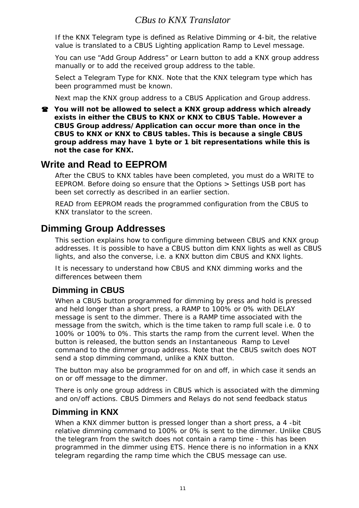If the KNX Telegram type is defined as Relative Dimming or 4-bit, the relative value is translated to a CBUS Lighting application Ramp to Level message.

You can use "Add Group Address" or Learn button to add a KNX group address manually or to add the received group address to the table.

Select a Telegram Type for KNX. Note that the KNX telegram type which has been programmed must be known.

Next map the KNX group address to a CBUS Application and Group address.

 **You will not be allowed to select a KNX group address which already exists in either the CBUS to KNX or KNX to CBUS Table. However a CBUS Group address/Application can occur more than once in the CBUS to KNX or KNX to CBUS tables. This is because a single CBUS group address may have 1 byte or 1 bit representations while this is not the case for KNX.**

# **Write and Read to EEPROM**

After the CBUS to KNX tables have been completed, you must do a WRITE to EEPROM. Before doing so ensure that the Options > Settings USB port has been set correctly as described in an earlier section.

READ from EEPROM reads the programmed configuration from the CBUS to KNX translator to the screen.

# **Dimming Group Addresses**

This section explains how to configure dimming between CBUS and KNX group addresses. It is possible to have a CBUS button dim KNX lights as well as CBUS lights, and also the converse, i.e. a KNX button dim CBUS and KNX lights.

It is necessary to understand how CBUS and KNX dimming works and the differences between them

### **Dimming in CBUS**

When a CBUS button programmed for dimming by press and hold is pressed and held longer than a short press, a RAMP to 100% or 0% with DELAY message is sent to the dimmer. There is a RAMP time associated with the message from the switch, which is the time taken to ramp full scale i.e. 0 to 100% or 100% to 0%. This starts the ramp from the current level. When the button is released, the button sends an Instantaneous Ramp to Level command to the dimmer group address. Note that the CBUS switch does NOT send a stop dimming command, unlike a KNX button.

The button may also be programmed for on and off, in which case it sends an on or off message to the dimmer.

There is only one group address in CBUS which is associated with the dimming and on/off actions. CBUS Dimmers and Relays do not send feedback status

#### **Dimming in KNX**

When a KNX dimmer button is pressed longer than a short press, a 4 -bit relative dimming command to 100% or 0% is sent to the dimmer. Unlike CBUS the telegram from the switch does not contain a ramp time - this has been programmed in the dimmer using ETS. Hence there is no information in a KNX telegram regarding the ramp time which the CBUS message can use.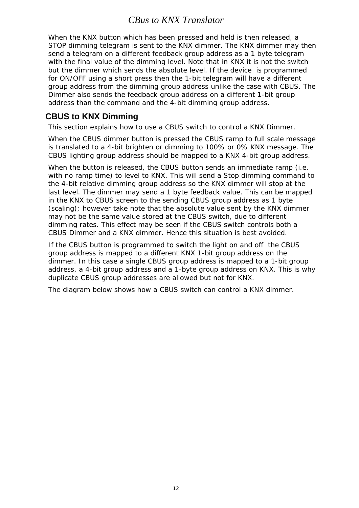When the KNX button which has been pressed and held is then released, a STOP dimming telegram is sent to the KNX dimmer. The KNX dimmer may then send a telegram on a different feedback group address as a 1 byte telegram with the final value of the dimming level. Note that in KNX it is not the switch but the dimmer which sends the absolute level. If the device is programmed for ON/OFF using a short press then the 1-bit telegram will have a different group address from the dimming group address unlike the case with CBUS. The Dimmer also sends the feedback group address on a different 1-bit group address than the command and the 4-bit dimming group address.

#### **CBUS to KNX Dimming**

This section explains how to use a CBUS switch to control a KNX Dimmer.

When the CBUS dimmer button is pressed the CBUS ramp to full scale message is translated to a 4-bit brighten or dimming to 100% or 0% KNX message. The CBUS lighting group address should be mapped to a KNX 4-bit group address.

When the button is released, the CBUS button sends an immediate ramp (i.e. with no ramp time) to level to KNX. This will send a Stop dimming command to the 4-bit relative dimming group address so the KNX dimmer will stop at the last level. The dimmer may send a 1 byte feedback value. This can be mapped in the KNX to CBUS screen to the sending CBUS group address as 1 byte (scaling); however take note that the absolute value sent by the KNX dimmer may not be the same value stored at the CBUS switch, due to different dimming rates. This effect may be seen if the CBUS switch controls both a CBUS Dimmer and a KNX dimmer. Hence this situation is best avoided.

If the CBUS button is programmed to switch the light on and off the CBUS group address is mapped to a different KNX 1-bit group address on the dimmer. In this case a single CBUS group address is mapped to a 1-bit group address, a 4-bit group address and a 1-byte group address on KNX. This is why duplicate CBUS group addresses are allowed but not for KNX.

The diagram below shows how a CBUS switch can control a KNX dimmer.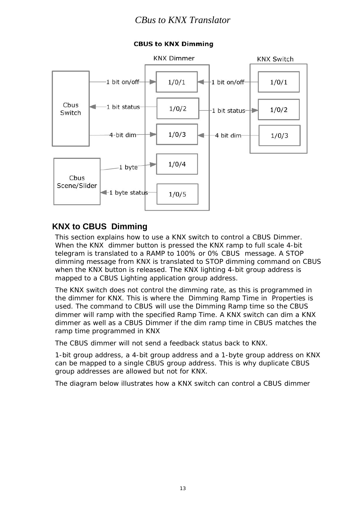

#### **CBUS to KNX Dimming**

#### **KNX to CBUS Dimming**

This section explains how to use a KNX switch to control a CBUS Dimmer. When the KNX dimmer button is pressed the KNX ramp to full scale 4-bit telegram is translated to a RAMP to 100% or 0% CBUS message. A STOP dimming message from KNX is translated to STOP dimming command on CBUS when the KNX button is released. The KNX lighting 4-bit group address is mapped to a CBUS Lighting application group address.

The KNX switch does not control the dimming rate, as this is programmed in the dimmer for KNX. This is where the Dimming Ramp Time in Properties is used. The command to CBUS will use the Dimming Ramp time so the CBUS dimmer will ramp with the specified Ramp Time. A KNX switch can dim a KNX dimmer as well as a CBUS Dimmer if the dim ramp time in CBUS matches the ramp time programmed in KNX

The CBUS dimmer will not send a feedback status back to KNX.

1-bit group address, a 4-bit group address and a 1-byte group address on KNX can be mapped to a single CBUS group address. This is why duplicate CBUS group addresses are allowed but not for KNX.

The diagram below illustrates how a KNX switch can control a CBUS dimmer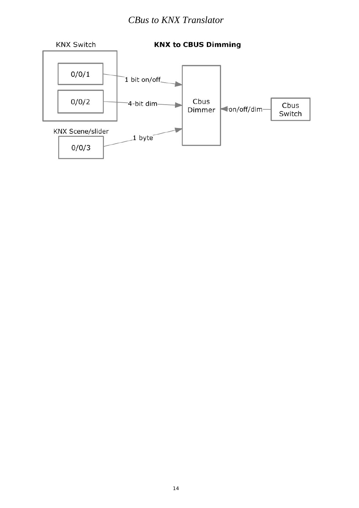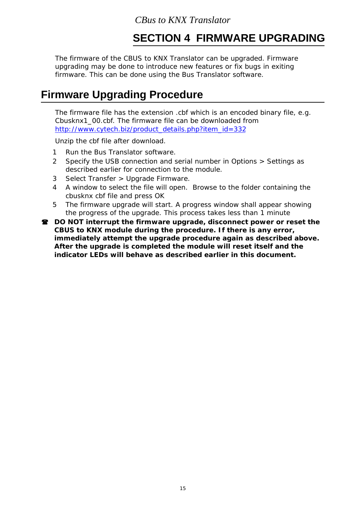# **SECTION 4 FIRMWARE UPGRADING**

The firmware of the CBUS to KNX Translator can be upgraded. Firmware upgrading may be done to introduce new features or fix bugs in exiting firmware. This can be done using the Bus Translator software.

# **Firmware Upgrading Procedure**

The firmware file has the extension .cbf which is an encoded binary file, e.g. Cbusknx1\_00.cbf. The firmware file can be downloaded from http://www.cytech.biz/product\_details.php?item\_id=332

Unzip the cbf file after download.

- 1 Run the Bus Translator software.
- 2 Specify the USB connection and serial number in Options > Settings as described earlier for connection to the module.
- 3 Select Transfer > Upgrade Firmware.
- 4 A window to select the file will open. Browse to the folder containing the cbusknx cbf file and press OK
- 5 The firmware upgrade will start. A progress window shall appear showing the progress of the upgrade. This process takes less than 1 minute
- **DO NOT interrupt the firmware upgrade, disconnect power or reset the CBUS to KNX module during the procedure. If there is any error, immediately attempt the upgrade procedure again as described above. After the upgrade is completed the module will reset itself and the indicator LEDs will behave as described earlier in this document.**